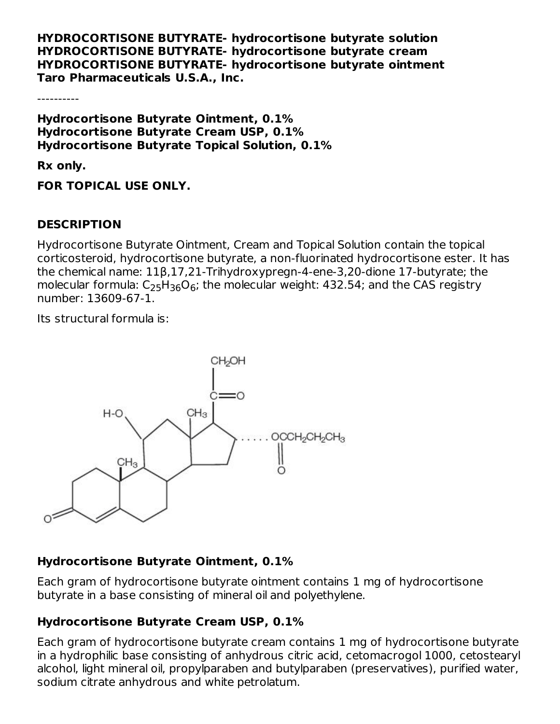**HYDROCORTISONE BUTYRATE- hydrocortisone butyrate solution HYDROCORTISONE BUTYRATE- hydrocortisone butyrate cream HYDROCORTISONE BUTYRATE- hydrocortisone butyrate ointment Taro Pharmaceuticals U.S.A., Inc.**

----------

**Hydrocortisone Butyrate Ointment, 0.1% Hydrocortisone Butyrate Cream USP, 0.1% Hydrocortisone Butyrate Topical Solution, 0.1%**

**Rx only.**

**FOR TOPICAL USE ONLY.**

### **DESCRIPTION**

Hydrocortisone Butyrate Ointment, Cream and Topical Solution contain the topical corticosteroid, hydrocortisone butyrate, a non-fluorinated hydrocortisone ester. It has the chemical name: 11β,17,21-Trihydroxypregn-4-ene-3,20-dione 17-butyrate; the molecular formula:  $\mathsf{C}_2$ 5H $_3$ 6O $_6$ ; the molecular weight: 432.54; and the CAS registry number: 13609-67-1.

Its structural formula is:



### **Hydrocortisone Butyrate Ointment, 0.1%**

Each gram of hydrocortisone butyrate ointment contains 1 mg of hydrocortisone butyrate in a base consisting of mineral oil and polyethylene.

## **Hydrocortisone Butyrate Cream USP, 0.1%**

Each gram of hydrocortisone butyrate cream contains 1 mg of hydrocortisone butyrate in a hydrophilic base consisting of anhydrous citric acid, cetomacrogol 1000, cetostearyl alcohol, light mineral oil, propylparaben and butylparaben (preservatives), purified water, sodium citrate anhydrous and white petrolatum.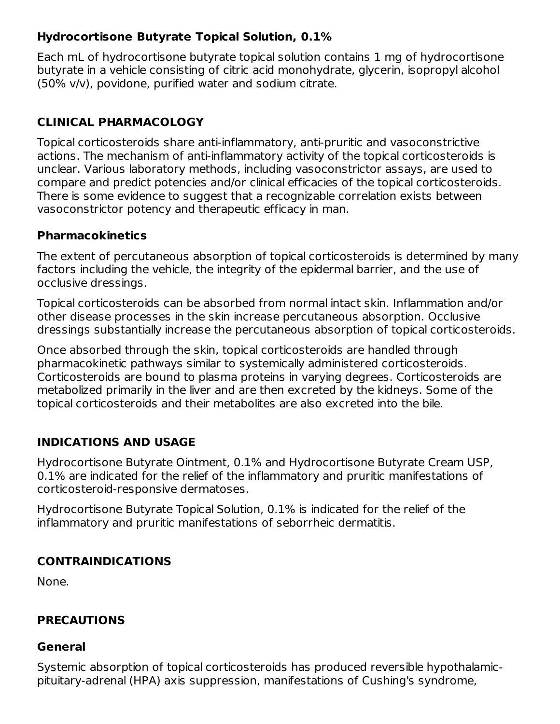## **Hydrocortisone Butyrate Topical Solution, 0.1%**

Each mL of hydrocortisone butyrate topical solution contains 1 mg of hydrocortisone butyrate in a vehicle consisting of citric acid monohydrate, glycerin, isopropyl alcohol (50% v/v), povidone, purified water and sodium citrate.

## **CLINICAL PHARMACOLOGY**

Topical corticosteroids share anti-inflammatory, anti-pruritic and vasoconstrictive actions. The mechanism of anti-inflammatory activity of the topical corticosteroids is unclear. Various laboratory methods, including vasoconstrictor assays, are used to compare and predict potencies and/or clinical efficacies of the topical corticosteroids. There is some evidence to suggest that a recognizable correlation exists between vasoconstrictor potency and therapeutic efficacy in man.

## **Pharmacokinetics**

The extent of percutaneous absorption of topical corticosteroids is determined by many factors including the vehicle, the integrity of the epidermal barrier, and the use of occlusive dressings.

Topical corticosteroids can be absorbed from normal intact skin. Inflammation and/or other disease processes in the skin increase percutaneous absorption. Occlusive dressings substantially increase the percutaneous absorption of topical corticosteroids.

Once absorbed through the skin, topical corticosteroids are handled through pharmacokinetic pathways similar to systemically administered corticosteroids. Corticosteroids are bound to plasma proteins in varying degrees. Corticosteroids are metabolized primarily in the liver and are then excreted by the kidneys. Some of the topical corticosteroids and their metabolites are also excreted into the bile.

## **INDICATIONS AND USAGE**

Hydrocortisone Butyrate Ointment, 0.1% and Hydrocortisone Butyrate Cream USP, 0.1% are indicated for the relief of the inflammatory and pruritic manifestations of corticosteroid-responsive dermatoses.

Hydrocortisone Butyrate Topical Solution, 0.1% is indicated for the relief of the inflammatory and pruritic manifestations of seborrheic dermatitis.

## **CONTRAINDICATIONS**

None.

## **PRECAUTIONS**

### **General**

Systemic absorption of topical corticosteroids has produced reversible hypothalamicpituitary-adrenal (HPA) axis suppression, manifestations of Cushing's syndrome,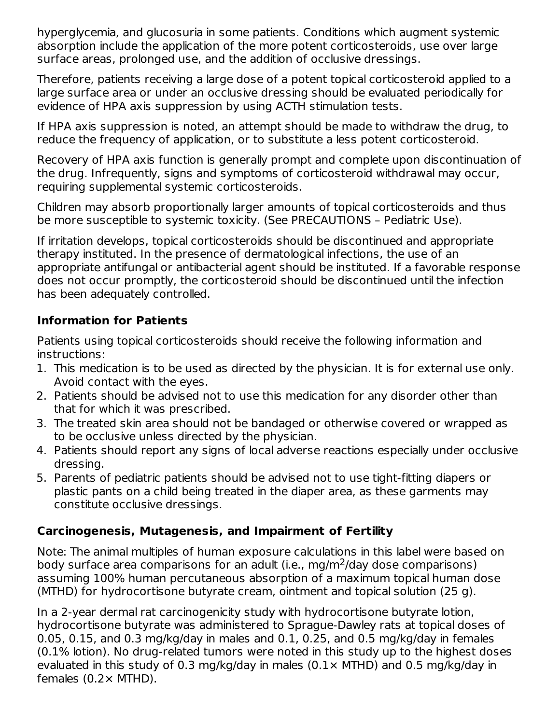hyperglycemia, and glucosuria in some patients. Conditions which augment systemic absorption include the application of the more potent corticosteroids, use over large surface areas, prolonged use, and the addition of occlusive dressings.

Therefore, patients receiving a large dose of a potent topical corticosteroid applied to a large surface area or under an occlusive dressing should be evaluated periodically for evidence of HPA axis suppression by using ACTH stimulation tests.

If HPA axis suppression is noted, an attempt should be made to withdraw the drug, to reduce the frequency of application, or to substitute a less potent corticosteroid.

Recovery of HPA axis function is generally prompt and complete upon discontinuation of the drug. Infrequently, signs and symptoms of corticosteroid withdrawal may occur, requiring supplemental systemic corticosteroids.

Children may absorb proportionally larger amounts of topical corticosteroids and thus be more susceptible to systemic toxicity. (See PRECAUTIONS – Pediatric Use).

If irritation develops, topical corticosteroids should be discontinued and appropriate therapy instituted. In the presence of dermatological infections, the use of an appropriate antifungal or antibacterial agent should be instituted. If a favorable response does not occur promptly, the corticosteroid should be discontinued until the infection has been adequately controlled.

## **Information for Patients**

Patients using topical corticosteroids should receive the following information and instructions:

- 1. This medication is to be used as directed by the physician. It is for external use only. Avoid contact with the eyes.
- 2. Patients should be advised not to use this medication for any disorder other than that for which it was prescribed.
- 3. The treated skin area should not be bandaged or otherwise covered or wrapped as to be occlusive unless directed by the physician.
- 4. Patients should report any signs of local adverse reactions especially under occlusive dressing.
- 5. Parents of pediatric patients should be advised not to use tight-fitting diapers or plastic pants on a child being treated in the diaper area, as these garments may constitute occlusive dressings.

## **Carcinogenesis, Mutagenesis, and Impairment of Fertility**

Note: The animal multiples of human exposure calculations in this label were based on body surface area comparisons for an adult (i.e., mg/m<sup>2</sup>/day dose comparisons) assuming 100% human percutaneous absorption of a maximum topical human dose (MTHD) for hydrocortisone butyrate cream, ointment and topical solution (25 g).

In a 2-year dermal rat carcinogenicity study with hydrocortisone butyrate lotion, hydrocortisone butyrate was administered to Sprague-Dawley rats at topical doses of 0.05, 0.15, and 0.3 mg/kg/day in males and 0.1, 0.25, and 0.5 mg/kg/day in females (0.1% lotion). No drug-related tumors were noted in this study up to the highest doses evaluated in this study of 0.3 mg/kg/day in males  $(0.1 \times MTHD)$  and 0.5 mg/kg/day in females  $(0.2 \times MTHD)$ .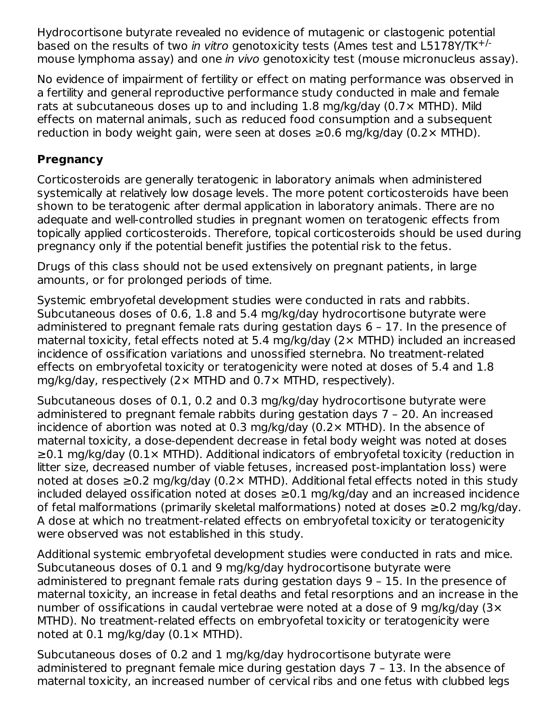Hydrocortisone butyrate revealed no evidence of mutagenic or clastogenic potential based on the results of two in vitro genotoxicity tests (Ames test and L5178Y/TK<sup>+/-</sup> mouse lymphoma assay) and one in vivo genotoxicity test (mouse micronucleus assay).

No evidence of impairment of fertility or effect on mating performance was observed in a fertility and general reproductive performance study conducted in male and female rats at subcutaneous doses up to and including 1.8 mg/kg/day (0.7× MTHD). Mild effects on maternal animals, such as reduced food consumption and a subsequent reduction in body weight gain, were seen at doses  $\geq$ 0.6 mg/kg/day (0.2 $\times$  MTHD).

## **Pregnancy**

Corticosteroids are generally teratogenic in laboratory animals when administered systemically at relatively low dosage levels. The more potent corticosteroids have been shown to be teratogenic after dermal application in laboratory animals. There are no adequate and well-controlled studies in pregnant women on teratogenic effects from topically applied corticosteroids. Therefore, topical corticosteroids should be used during pregnancy only if the potential benefit justifies the potential risk to the fetus.

Drugs of this class should not be used extensively on pregnant patients, in large amounts, or for prolonged periods of time.

Systemic embryofetal development studies were conducted in rats and rabbits. Subcutaneous doses of 0.6, 1.8 and 5.4 mg/kg/day hydrocortisone butyrate were administered to pregnant female rats during gestation days 6 – 17. In the presence of maternal toxicity, fetal effects noted at 5.4 mg/kg/day (2× MTHD) included an increased incidence of ossification variations and unossified sternebra. No treatment-related effects on embryofetal toxicity or teratogenicity were noted at doses of 5.4 and 1.8 mg/kg/day, respectively  $(2 \times MTHD)$  and  $0.7 \times MTHD$ , respectively).

Subcutaneous doses of 0.1, 0.2 and 0.3 mg/kg/day hydrocortisone butyrate were administered to pregnant female rabbits during gestation days 7 – 20. An increased incidence of abortion was noted at 0.3 mg/kg/day (0.2× MTHD). In the absence of maternal toxicity, a dose-dependent decrease in fetal body weight was noted at doses ≥0.1 mg/kg/day (0.1× MTHD). Additional indicators of embryofetal toxicity (reduction in litter size, decreased number of viable fetuses, increased post-implantation loss) were noted at doses  $\geq$ 0.2 mg/kg/day (0.2× MTHD). Additional fetal effects noted in this study included delayed ossification noted at doses ≥0.1 mg/kg/day and an increased incidence of fetal malformations (primarily skeletal malformations) noted at doses ≥0.2 mg/kg/day. A dose at which no treatment-related effects on embryofetal toxicity or teratogenicity were observed was not established in this study.

Additional systemic embryofetal development studies were conducted in rats and mice. Subcutaneous doses of 0.1 and 9 mg/kg/day hydrocortisone butyrate were administered to pregnant female rats during gestation days 9 – 15. In the presence of maternal toxicity, an increase in fetal deaths and fetal resorptions and an increase in the number of ossifications in caudal vertebrae were noted at a dose of 9 mg/kg/day (3× MTHD). No treatment-related effects on embryofetal toxicity or teratogenicity were noted at  $0.1$  mg/kg/day  $(0.1 \times MTHD)$ .

Subcutaneous doses of 0.2 and 1 mg/kg/day hydrocortisone butyrate were administered to pregnant female mice during gestation days 7 – 13. In the absence of maternal toxicity, an increased number of cervical ribs and one fetus with clubbed legs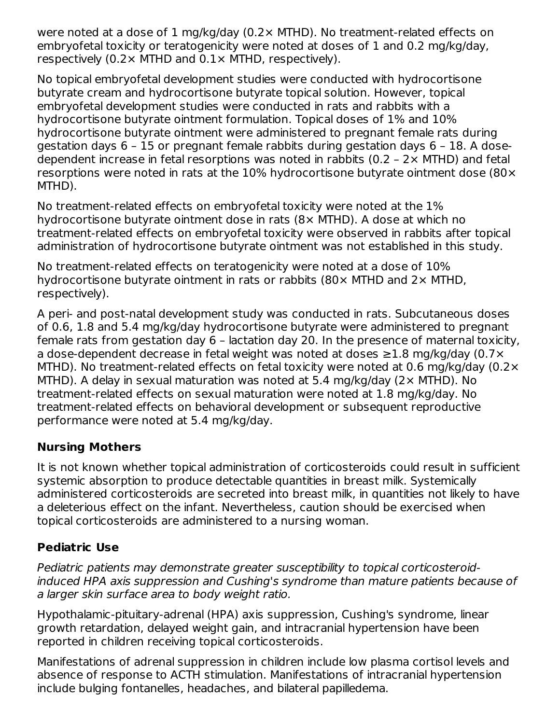were noted at a dose of 1 mg/kg/day (0.2× MTHD). No treatment-related effects on embryofetal toxicity or teratogenicity were noted at doses of 1 and 0.2 mg/kg/day, respectively (0.2 $\times$  MTHD and 0.1 $\times$  MTHD, respectively).

No topical embryofetal development studies were conducted with hydrocortisone butyrate cream and hydrocortisone butyrate topical solution. However, topical embryofetal development studies were conducted in rats and rabbits with a hydrocortisone butyrate ointment formulation. Topical doses of 1% and 10% hydrocortisone butyrate ointment were administered to pregnant female rats during gestation days 6 – 15 or pregnant female rabbits during gestation days 6 – 18. A dosedependent increase in fetal resorptions was noted in rabbits  $(0.2 - 2 \times MTHD)$  and fetal resorptions were noted in rats at the 10% hydrocortisone butyrate ointment dose (80× MTHD).

No treatment-related effects on embryofetal toxicity were noted at the 1% hydrocortisone butyrate ointment dose in rats (8× MTHD). A dose at which no treatment-related effects on embryofetal toxicity were observed in rabbits after topical administration of hydrocortisone butyrate ointment was not established in this study.

No treatment-related effects on teratogenicity were noted at a dose of 10% hydrocortisone butyrate ointment in rats or rabbits (80× MTHD and 2× MTHD, respectively).

A peri- and post-natal development study was conducted in rats. Subcutaneous doses of 0.6, 1.8 and 5.4 mg/kg/day hydrocortisone butyrate were administered to pregnant female rats from gestation day 6 – lactation day 20. In the presence of maternal toxicity, a dose-dependent decrease in fetal weight was noted at doses ≥1.8 mg/kg/day (0.7× MTHD). No treatment-related effects on fetal toxicity were noted at 0.6 mg/kg/day (0.2 $\times$ MTHD). A delay in sexual maturation was noted at 5.4 mg/kg/day (2× MTHD). No treatment-related effects on sexual maturation were noted at 1.8 mg/kg/day. No treatment-related effects on behavioral development or subsequent reproductive performance were noted at 5.4 mg/kg/day.

## **Nursing Mothers**

It is not known whether topical administration of corticosteroids could result in sufficient systemic absorption to produce detectable quantities in breast milk. Systemically administered corticosteroids are secreted into breast milk, in quantities not likely to have a deleterious effect on the infant. Nevertheless, caution should be exercised when topical corticosteroids are administered to a nursing woman.

# **Pediatric Use**

Pediatric patients may demonstrate greater susceptibility to topical corticosteroidinduced HPA axis suppression and Cushing's syndrome than mature patients because of a larger skin surface area to body weight ratio.

Hypothalamic-pituitary-adrenal (HPA) axis suppression, Cushing's syndrome, linear growth retardation, delayed weight gain, and intracranial hypertension have been reported in children receiving topical corticosteroids.

Manifestations of adrenal suppression in children include low plasma cortisol levels and absence of response to ACTH stimulation. Manifestations of intracranial hypertension include bulging fontanelles, headaches, and bilateral papilledema.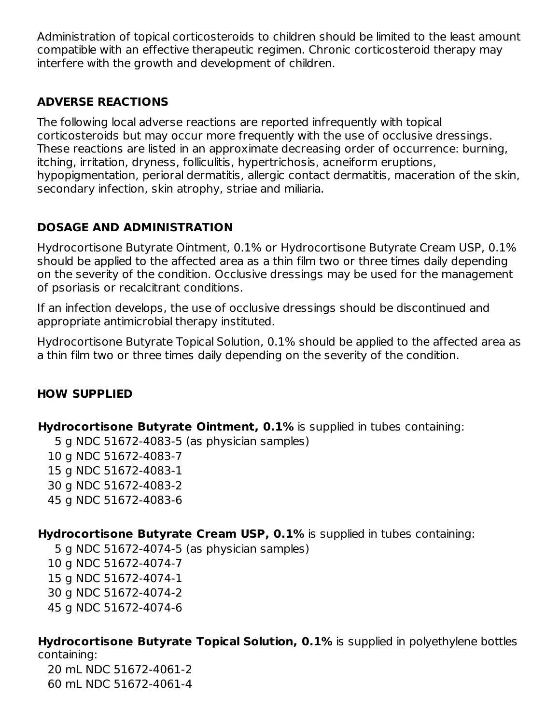Administration of topical corticosteroids to children should be limited to the least amount compatible with an effective therapeutic regimen. Chronic corticosteroid therapy may interfere with the growth and development of children.

## **ADVERSE REACTIONS**

The following local adverse reactions are reported infrequently with topical corticosteroids but may occur more frequently with the use of occlusive dressings. These reactions are listed in an approximate decreasing order of occurrence: burning, itching, irritation, dryness, folliculitis, hypertrichosis, acneiform eruptions, hypopigmentation, perioral dermatitis, allergic contact dermatitis, maceration of the skin, secondary infection, skin atrophy, striae and miliaria.

## **DOSAGE AND ADMINISTRATION**

Hydrocortisone Butyrate Ointment, 0.1% or Hydrocortisone Butyrate Cream USP, 0.1% should be applied to the affected area as a thin film two or three times daily depending on the severity of the condition. Occlusive dressings may be used for the management of psoriasis or recalcitrant conditions.

If an infection develops, the use of occlusive dressings should be discontinued and appropriate antimicrobial therapy instituted.

Hydrocortisone Butyrate Topical Solution, 0.1% should be applied to the affected area as a thin film two or three times daily depending on the severity of the condition.

## **HOW SUPPLIED**

**Hydrocortisone Butyrate Ointment, 0.1%** is supplied in tubes containing:

 g NDC 51672-4083-5 (as physician samples) g NDC 51672-4083-7 g NDC 51672-4083-1 g NDC 51672-4083-2 g NDC 51672-4083-6

**Hydrocortisone Butyrate Cream USP, 0.1%** is supplied in tubes containing:

 g NDC 51672-4074-5 (as physician samples) g NDC 51672-4074-7 g NDC 51672-4074-1 g NDC 51672-4074-2 g NDC 51672-4074-6

**Hydrocortisone Butyrate Topical Solution, 0.1%** is supplied in polyethylene bottles containing:

20 mL NDC 51672-4061-2 60 mL NDC 51672-4061-4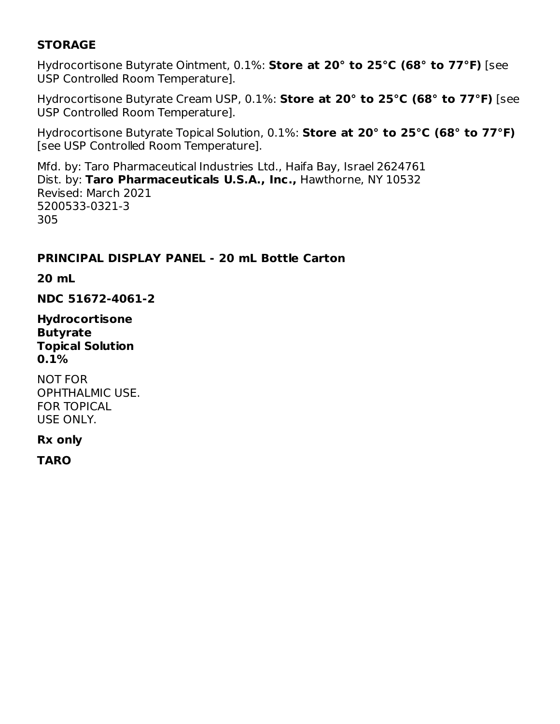## **STORAGE**

Hydrocortisone Butyrate Ointment, 0.1%: **Store at 20° to 25°C (68° to 77°F)** [see USP Controlled Room Temperature].

Hydrocortisone Butyrate Cream USP, 0.1%: **Store at 20° to 25°C (68° to 77°F)** [see USP Controlled Room Temperature].

Hydrocortisone Butyrate Topical Solution, 0.1%: **Store at 20° to 25°C (68° to 77°F)** [see USP Controlled Room Temperature].

Mfd. by: Taro Pharmaceutical Industries Ltd., Haifa Bay, Israel 2624761 Dist. by: **Taro Pharmaceuticals U.S.A., Inc.,** Hawthorne, NY 10532 Revised: March 2021 5200533-0321-3 305

### **PRINCIPAL DISPLAY PANEL - 20 mL Bottle Carton**

**20 mL**

**NDC 51672-4061-2**

**Hydrocortisone Butyrate Topical Solution 0.1%**

NOT FOR OPHTHALMIC USE. FOR TOPICAL USE ONLY.

#### **Rx only**

**TARO**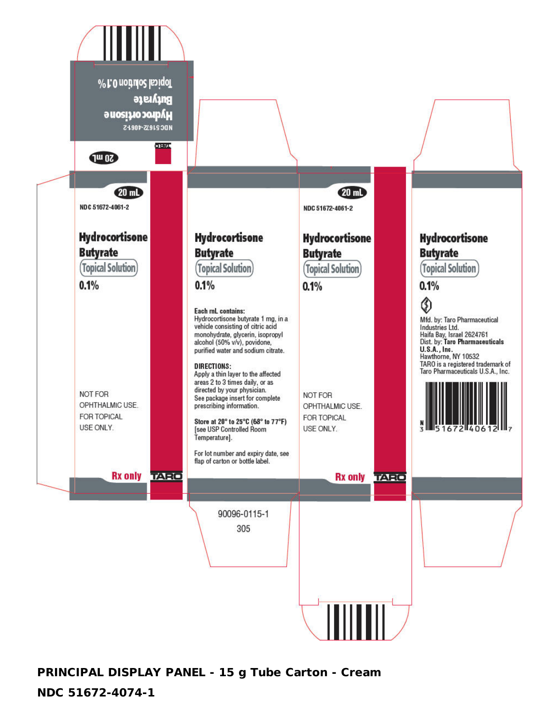

**PRINCIPAL DISPLAY PANEL - 15 g Tube Carton - Cream**

#### **NDC 51672-4074-1**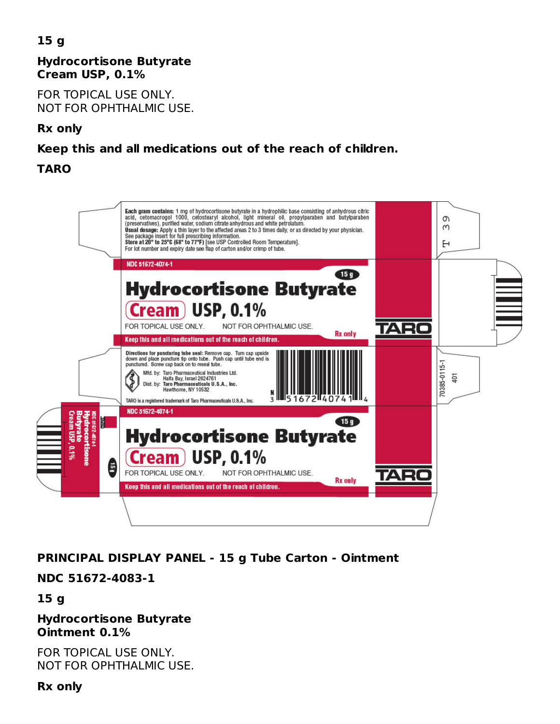# **15 g**

### **Hydrocortisone Butyrate Cream USP, 0.1%**

FOR TOPICAL USE ONLY. NOT FOR OPHTHALMIC USE.

### **Rx only**

## **Keep this and all medications out of the reach of children.**

## **TARO**



## **PRINCIPAL DISPLAY PANEL - 15 g Tube Carton - Ointment**

## **NDC 51672-4083-1**

## **15 g**

#### **Hydrocortisone Butyrate Ointment 0.1%**

FOR TOPICAL USE ONLY. NOT FOR OPHTHALMIC USE.

#### **Rx only**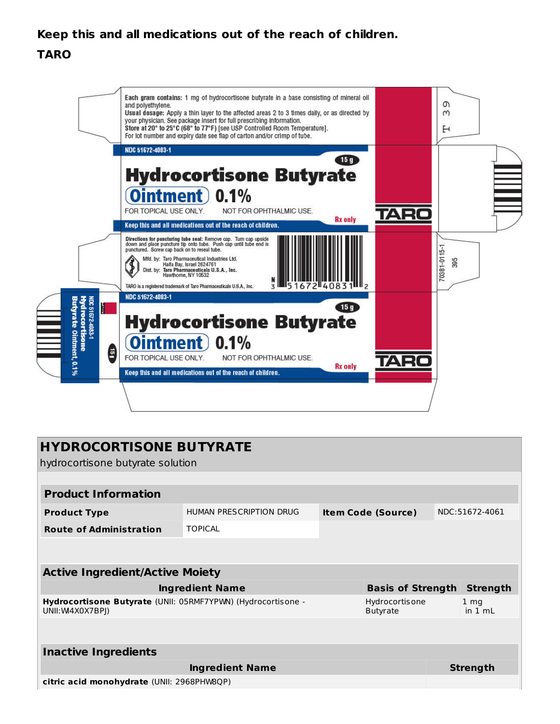# **Keep this and all medications out of the reach of children.**

### **TARO**



| <b>HYDROCORTISONE BUTYRATE</b><br>hydrocortisone butyrate solution               |                         |                           |                                   |                 |                            |  |
|----------------------------------------------------------------------------------|-------------------------|---------------------------|-----------------------------------|-----------------|----------------------------|--|
|                                                                                  |                         |                           |                                   |                 |                            |  |
| <b>Product Information</b>                                                       |                         |                           |                                   |                 |                            |  |
| <b>Product Type</b>                                                              | HUMAN PRESCRIPTION DRUG | <b>Item Code (Source)</b> |                                   |                 | NDC:51672-4061             |  |
| <b>TOPICAL</b><br><b>Route of Administration</b>                                 |                         |                           |                                   |                 |                            |  |
|                                                                                  |                         |                           |                                   |                 |                            |  |
| <b>Active Ingredient/Active Moiety</b>                                           |                         |                           |                                   |                 |                            |  |
|                                                                                  | <b>Ingredient Name</b>  | <b>Basis of Strength</b>  |                                   |                 | <b>Strength</b>            |  |
| Hydrocortisone Butyrate (UNII: 05RMF7YPWN) (Hydrocortisone -<br>UNII: W4X0X7BPI) |                         |                           | Hydrocortisone<br><b>Butyrate</b> |                 | 1 <sub>mg</sub><br>in 1 ml |  |
|                                                                                  |                         |                           |                                   |                 |                            |  |
| <b>Inactive Ingredients</b>                                                      |                         |                           |                                   |                 |                            |  |
| <b>Ingredient Name</b>                                                           |                         |                           |                                   | <b>Strength</b> |                            |  |
| citric acid monohydrate (UNII: 2968PHW8QP)                                       |                         |                           |                                   |                 |                            |  |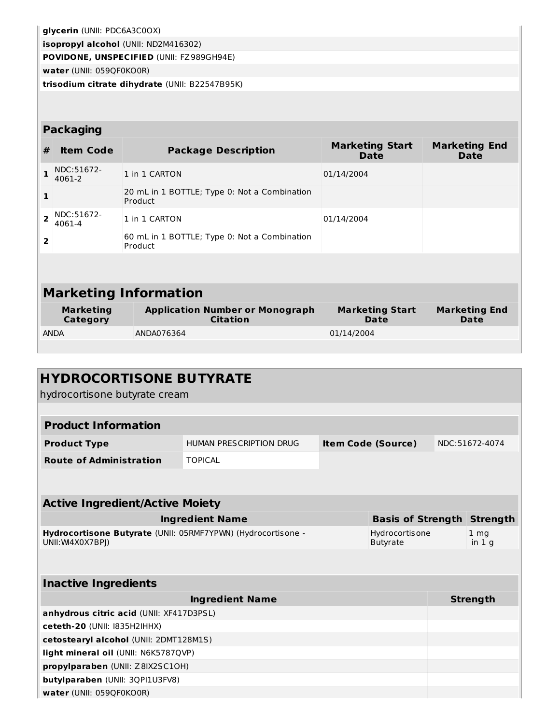| glycerin (UNII: PDC6A3C0OX)                     |  |
|-------------------------------------------------|--|
| <b>isopropyl alcohol</b> (UNII: ND2M416302)     |  |
| <b>POVIDONE, UNSPECIFIED (UNII: FZ989GH94E)</b> |  |
| water (UNII: 059QF0KO0R)                        |  |
| trisodium citrate dihydrate (UNII: B22547B95K)  |  |
|                                                 |  |

## **Packaging**

| #                            | <b>Item Code</b>                                                                          | <b>Marketing Start</b><br><b>Package Description</b><br><b>Date</b> |                                | <b>Marketing End</b><br>Date |  |
|------------------------------|-------------------------------------------------------------------------------------------|---------------------------------------------------------------------|--------------------------------|------------------------------|--|
|                              | NDC:51672-<br>4061-2                                                                      | 1 in 1 CARTON                                                       | 01/14/2004                     |                              |  |
| 1                            | 20 mL in 1 BOTTLE; Type 0: Not a Combination<br>Product                                   |                                                                     |                                |                              |  |
|                              | NDC:51672-<br>4061-4                                                                      | 1 in 1 CARTON                                                       | 01/14/2004                     |                              |  |
| $\overline{2}$               |                                                                                           | 60 mL in 1 BOTTLE; Type 0: Not a Combination<br>Product             |                                |                              |  |
|                              |                                                                                           |                                                                     |                                |                              |  |
| <b>Marketing Information</b> |                                                                                           |                                                                     |                                |                              |  |
|                              | <b>Application Number or Monograph</b><br><b>Marketing</b><br><b>Citation</b><br>Category |                                                                     | <b>Marketing Start</b><br>Date | <b>Marketing End</b><br>Date |  |

**Category** ANDA ANDA076364 01/14/2004

| <b>HYDROCORTISONE BUTYRATE</b>                                                   |                                |                           |                                          |                 |                           |
|----------------------------------------------------------------------------------|--------------------------------|---------------------------|------------------------------------------|-----------------|---------------------------|
| hydrocortisone butyrate cream                                                    |                                |                           |                                          |                 |                           |
|                                                                                  |                                |                           |                                          |                 |                           |
| <b>Product Information</b>                                                       |                                |                           |                                          |                 |                           |
| <b>Product Type</b>                                                              | <b>HUMAN PRESCRIPTION DRUG</b> | <b>Item Code (Source)</b> |                                          | NDC:51672-4074  |                           |
| <b>Route of Administration</b><br><b>TOPICAL</b>                                 |                                |                           |                                          |                 |                           |
|                                                                                  |                                |                           |                                          |                 |                           |
|                                                                                  |                                |                           |                                          |                 |                           |
| <b>Active Ingredient/Active Moiety</b>                                           |                                |                           |                                          |                 |                           |
|                                                                                  | <b>Ingredient Name</b>         |                           | <b>Basis of Strength</b>                 |                 | <b>Strength</b>           |
| Hydrocortisone Butyrate (UNII: 05RMF7YPWN) (Hydrocortisone -<br>UNII: W4X0X7BPJ) |                                |                           | <b>Hydrocortisone</b><br><b>Butyrate</b> |                 | $1 \text{ mg}$<br>in $1q$ |
|                                                                                  |                                |                           |                                          |                 |                           |
| <b>Inactive Ingredients</b>                                                      |                                |                           |                                          |                 |                           |
| <b>Ingredient Name</b>                                                           |                                |                           |                                          | <b>Strength</b> |                           |
| anhydrous citric acid (UNII: XF417D3PSL)                                         |                                |                           |                                          |                 |                           |
| $c$ eteth-20 (UNII: 1835H2IHHX)                                                  |                                |                           |                                          |                 |                           |

**ceteth-20** (UNII: I835H2IHHX) **cetostearyl alcohol** (UNII: 2DMT128M1S) **light mineral oil** (UNII: N6K5787QVP) **propylparaben** (UNII: Z8IX2SC1OH) **butylparaben** (UNII: 3QPI1U3FV8) **water** (UNII: 059QF0KO0R)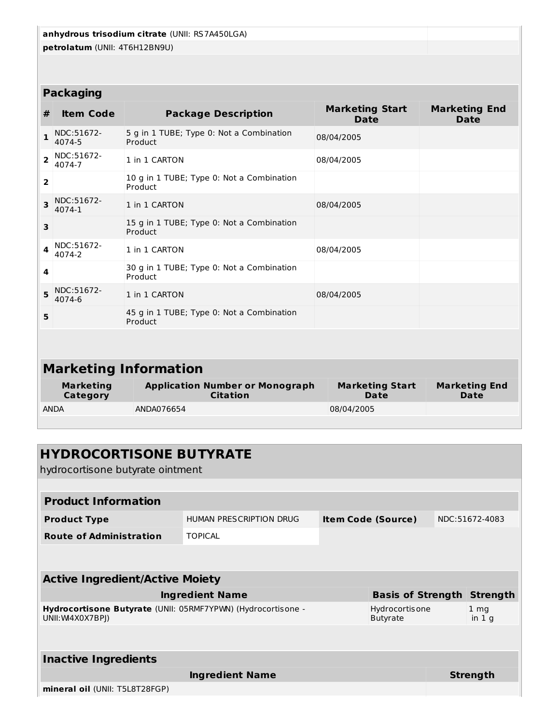**anhydrous trisodium citrate** (UNII: RS7A450LGA) **petrolatum** (UNII: 4T6H12BN9U) **Packaging # Item Code Package Description Marketing Start Date Marketing End Date 1** NDC:51672- 4074-5 5 g in 1 TUBE; Type 0: Not a Combination Product 08/04/2005 **2** NDC:51672- 4074-7 1 in 1 CARTON 08/04/2005 **2** 10 g in 1 TUBE; Type 0: Not a Combination Product **3** NDC:51672- 4074-1 1 in 1 CARTON 08/04/2005 **3** 15 g in 1 TUBE; Type 0: Not a Combination Product **4** NDC:51672- 4074-2 1 in 1 CARTON 08/04/2005 **4** 30 g in 1 TUBE; Type 0: Not a Combination Product **5** NDC:51672- 4074-6 1 in 1 CARTON 08/04/2005 **5** 45 g in 1 TUBE; Type 0: Not a Combination Product **Marketing Information Marketing Category Application Number or Monograph Citation Marketing Start Date Marketing End Date** ANDA ANDA076654 08/04/2005

# **HYDROCORTISONE BUTYRATE** hydrocortisone butyrate ointment **Product Information Product Type** HUMAN PRESCRIPTION DRUG **Item Code (Source)** NDC:51672-4083 **Route of Administration** TOPICAL **Active Ingredient/Active Moiety Ingredient Name Basis of Strength Strength Hydrocortisone Butyrate** (UNII: 05RMF7YPWN) (Hydrocortisone - UNII:WI4X0X7BPJ) Hydrocortisone Butyrate 1 mg in 1 g **Inactive Ingredients Ingredient Name Strength mineral oil** (UNII: T5L8T28FGP)